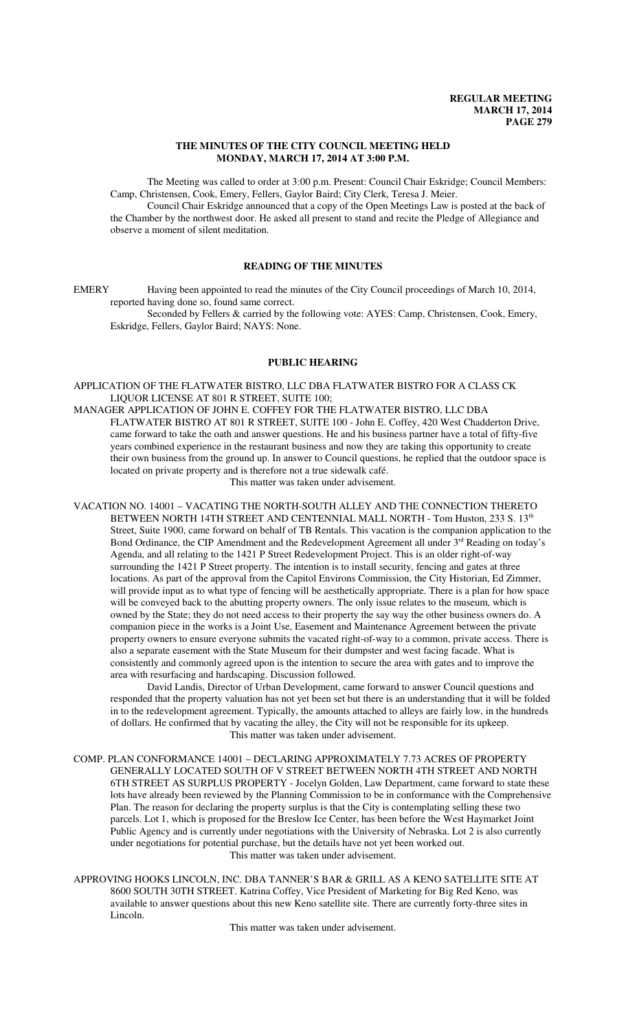### **THE MINUTES OF THE CITY COUNCIL MEETING HELD MONDAY, MARCH 17, 2014 AT 3:00 P.M.**

The Meeting was called to order at 3:00 p.m. Present: Council Chair Eskridge; Council Members: Camp, Christensen, Cook, Emery, Fellers, Gaylor Baird; City Clerk, Teresa J. Meier.

Council Chair Eskridge announced that a copy of the Open Meetings Law is posted at the back of the Chamber by the northwest door. He asked all present to stand and recite the Pledge of Allegiance and observe a moment of silent meditation.

# **READING OF THE MINUTES**

EMERY Having been appointed to read the minutes of the City Council proceedings of March 10, 2014, reported having done so, found same correct.

Seconded by Fellers & carried by the following vote: AYES: Camp, Christensen, Cook, Emery, Eskridge, Fellers, Gaylor Baird; NAYS: None.

# **PUBLIC HEARING**

APPLICATION OF THE FLATWATER BISTRO, LLC DBA FLATWATER BISTRO FOR A CLASS CK LIQUOR LICENSE AT 801 R STREET, SUITE 100;

- MANAGER APPLICATION OF JOHN E. COFFEY FOR THE FLATWATER BISTRO, LLC DBA FLATWATER BISTRO AT 801 R STREET, SUITE 100 - John E. Coffey, 420 West Chadderton Drive, came forward to take the oath and answer questions. He and his business partner have a total of fifty-five years combined experience in the restaurant business and now they are taking this opportunity to create their own business from the ground up. In answer to Council questions, he replied that the outdoor space is located on private property and is therefore not a true sidewalk café. This matter was taken under advisement.
- VACATION NO. 14001 VACATING THE NORTH-SOUTH ALLEY AND THE CONNECTION THERETO BETWEEN NORTH 14TH STREET AND CENTENNIAL MALL NORTH - Tom Huston, 233 S. 13<sup>th</sup> Street, Suite 1900, came forward on behalf of TB Rentals. This vacation is the companion application to the Bond Ordinance, the CIP Amendment and the Redevelopment Agreement all under  $3<sup>rd</sup>$  Reading on today's Agenda, and all relating to the 1421 P Street Redevelopment Project. This is an older right-of-way surrounding the 1421 P Street property. The intention is to install security, fencing and gates at three locations. As part of the approval from the Capitol Environs Commission, the City Historian, Ed Zimmer, will provide input as to what type of fencing will be aesthetically appropriate. There is a plan for how space will be conveyed back to the abutting property owners. The only issue relates to the museum, which is owned by the State; they do not need access to their property the say way the other business owners do. A companion piece in the works is a Joint Use, Easement and Maintenance Agreement between the private property owners to ensure everyone submits the vacated right-of-way to a common, private access. There is also a separate easement with the State Museum for their dumpster and west facing facade. What is consistently and commonly agreed upon is the intention to secure the area with gates and to improve the area with resurfacing and hardscaping. Discussion followed.

David Landis, Director of Urban Development, came forward to answer Council questions and responded that the property valuation has not yet been set but there is an understanding that it will be folded in to the redevelopment agreement. Typically, the amounts attached to alleys are fairly low, in the hundreds of dollars. He confirmed that by vacating the alley, the City will not be responsible for its upkeep. This matter was taken under advisement.

- COMP. PLAN CONFORMANCE 14001 DECLARING APPROXIMATELY 7.73 ACRES OF PROPERTY GENERALLY LOCATED SOUTH OF V STREET BETWEEN NORTH 4TH STREET AND NORTH 6TH STREET AS SURPLUS PROPERTY - Jocelyn Golden, Law Department, came forward to state these lots have already been reviewed by the Planning Commission to be in conformance with the Comprehensive Plan. The reason for declaring the property surplus is that the City is contemplating selling these two parcels. Lot 1, which is proposed for the Breslow Ice Center, has been before the West Haymarket Joint Public Agency and is currently under negotiations with the University of Nebraska. Lot 2 is also currently under negotiations for potential purchase, but the details have not yet been worked out. This matter was taken under advisement.
- APPROVING HOOKS LINCOLN, INC. DBA TANNER'S BAR & GRILL AS A KENO SATELLITE SITE AT 8600 SOUTH 30TH STREET. Katrina Coffey, Vice President of Marketing for Big Red Keno, was available to answer questions about this new Keno satellite site. There are currently forty-three sites in Lincoln.

This matter was taken under advisement.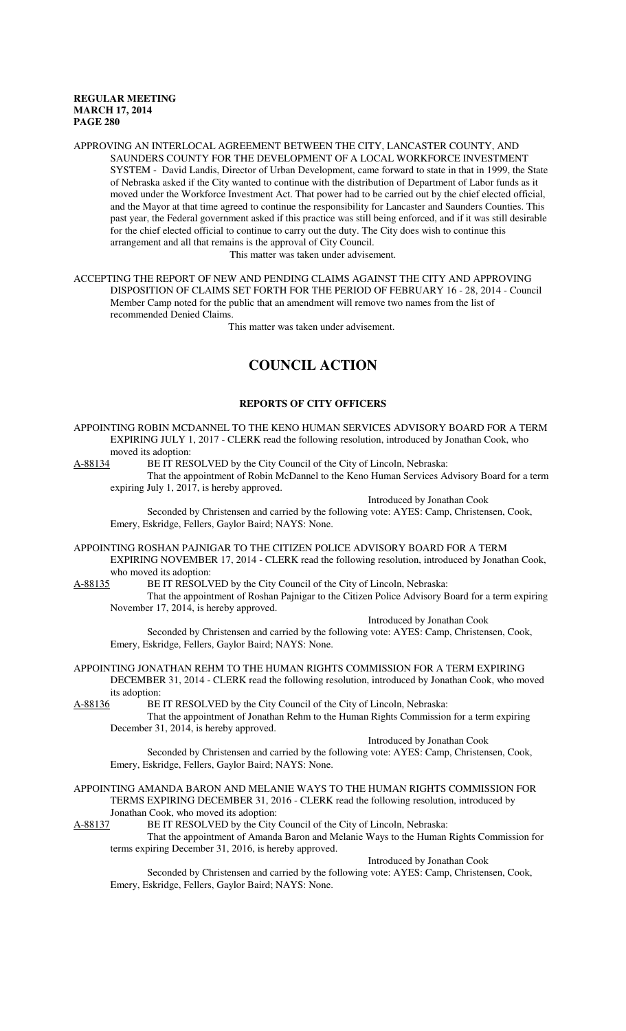APPROVING AN INTERLOCAL AGREEMENT BETWEEN THE CITY, LANCASTER COUNTY, AND SAUNDERS COUNTY FOR THE DEVELOPMENT OF A LOCAL WORKFORCE INVESTMENT SYSTEM - David Landis, Director of Urban Development, came forward to state in that in 1999, the State of Nebraska asked if the City wanted to continue with the distribution of Department of Labor funds as it moved under the Workforce Investment Act. That power had to be carried out by the chief elected official, and the Mayor at that time agreed to continue the responsibility for Lancaster and Saunders Counties. This past year, the Federal government asked if this practice was still being enforced, and if it was still desirable for the chief elected official to continue to carry out the duty. The City does wish to continue this arrangement and all that remains is the approval of City Council.

This matter was taken under advisement.

ACCEPTING THE REPORT OF NEW AND PENDING CLAIMS AGAINST THE CITY AND APPROVING DISPOSITION OF CLAIMS SET FORTH FOR THE PERIOD OF FEBRUARY 16 - 28, 2014 - Council Member Camp noted for the public that an amendment will remove two names from the list of recommended Denied Claims.

This matter was taken under advisement.

# **COUNCIL ACTION**

# **REPORTS OF CITY OFFICERS**

APPOINTING ROBIN MCDANNEL TO THE KENO HUMAN SERVICES ADVISORY BOARD FOR A TERM EXPIRING JULY 1, 2017 - CLERK read the following resolution, introduced by Jonathan Cook, who moved its adoption:

A-88134 BE IT RESOLVED by the City Council of the City of Lincoln, Nebraska:

That the appointment of Robin McDannel to the Keno Human Services Advisory Board for a term expiring July 1, 2017, is hereby approved.

Introduced by Jonathan Cook

Seconded by Christensen and carried by the following vote: AYES: Camp, Christensen, Cook, Emery, Eskridge, Fellers, Gaylor Baird; NAYS: None.

APPOINTING ROSHAN PAJNIGAR TO THE CITIZEN POLICE ADVISORY BOARD FOR A TERM EXPIRING NOVEMBER 17, 2014 - CLERK read the following resolution, introduced by Jonathan Cook, who moved its adoption:<br>A-88135 BE IT RESOLV

BE IT RESOLVED by the City Council of the City of Lincoln, Nebraska:

That the appointment of Roshan Pajnigar to the Citizen Police Advisory Board for a term expiring November 17, 2014, is hereby approved.

Introduced by Jonathan Cook

Seconded by Christensen and carried by the following vote: AYES: Camp, Christensen, Cook, Emery, Eskridge, Fellers, Gaylor Baird; NAYS: None.

APPOINTING JONATHAN REHM TO THE HUMAN RIGHTS COMMISSION FOR A TERM EXPIRING DECEMBER 31, 2014 - CLERK read the following resolution, introduced by Jonathan Cook, who moved its adoption:

A-88136 BE IT RESOLVED by the City Council of the City of Lincoln, Nebraska:

That the appointment of Jonathan Rehm to the Human Rights Commission for a term expiring December 31, 2014, is hereby approved.

Introduced by Jonathan Cook

Seconded by Christensen and carried by the following vote: AYES: Camp, Christensen, Cook, Emery, Eskridge, Fellers, Gaylor Baird; NAYS: None.

APPOINTING AMANDA BARON AND MELANIE WAYS TO THE HUMAN RIGHTS COMMISSION FOR TERMS EXPIRING DECEMBER 31, 2016 - CLERK read the following resolution, introduced by Jonathan Cook, who moved its adoption:

A-88137 BE IT RESOLVED by the City Council of the City of Lincoln, Nebraska:

That the appointment of Amanda Baron and Melanie Ways to the Human Rights Commission for terms expiring December 31, 2016, is hereby approved.

Introduced by Jonathan Cook

Seconded by Christensen and carried by the following vote: AYES: Camp, Christensen, Cook, Emery, Eskridge, Fellers, Gaylor Baird; NAYS: None.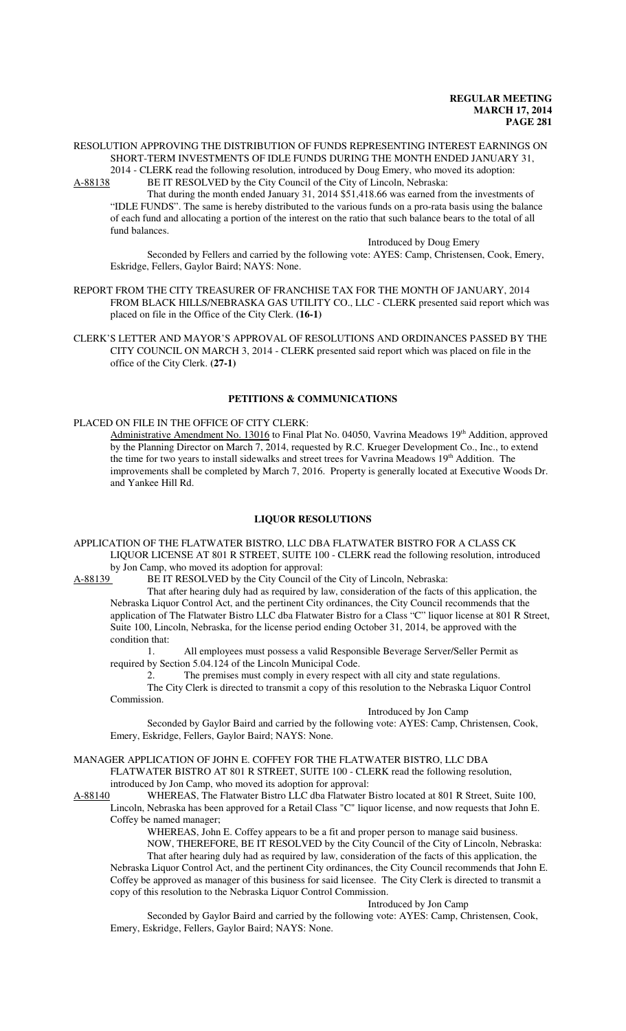#### RESOLUTION APPROVING THE DISTRIBUTION OF FUNDS REPRESENTING INTEREST EARNINGS ON SHORT-TERM INVESTMENTS OF IDLE FUNDS DURING THE MONTH ENDED JANUARY 31, 2014 - CLERK read the following resolution, introduced by Doug Emery, who moved its adoption:

A-88138 BE IT RESOLVED by the City Council of the City of Lincoln, Nebraska:

That during the month ended January 31, 2014 \$51,418.66 was earned from the investments of "IDLE FUNDS". The same is hereby distributed to the various funds on a pro-rata basis using the balance of each fund and allocating a portion of the interest on the ratio that such balance bears to the total of all fund balances.

Introduced by Doug Emery

Seconded by Fellers and carried by the following vote: AYES: Camp, Christensen, Cook, Emery, Eskridge, Fellers, Gaylor Baird; NAYS: None.

- REPORT FROM THE CITY TREASURER OF FRANCHISE TAX FOR THE MONTH OF JANUARY, 2014 FROM BLACK HILLS/NEBRASKA GAS UTILITY CO., LLC - CLERK presented said report which was placed on file in the Office of the City Clerk. **(16-1)**
- CLERK'S LETTER AND MAYOR'S APPROVAL OF RESOLUTIONS AND ORDINANCES PASSED BY THE CITY COUNCIL ON MARCH 3, 2014 - CLERK presented said report which was placed on file in the office of the City Clerk. **(27-1)**

# **PETITIONS & COMMUNICATIONS**

#### PLACED ON FILE IN THE OFFICE OF CITY CLERK:

Administrative Amendment No. 13016 to Final Plat No. 04050, Vavrina Meadows 19<sup>th</sup> Addition, approved by the Planning Director on March 7, 2014, requested by R.C. Krueger Development Co., Inc., to extend the time for two years to install sidewalks and street trees for Vavrina Meadows 19<sup>th</sup> Addition. The improvements shall be completed by March 7, 2016. Property is generally located at Executive Woods Dr. and Yankee Hill Rd.

#### **LIQUOR RESOLUTIONS**

APPLICATION OF THE FLATWATER BISTRO, LLC DBA FLATWATER BISTRO FOR A CLASS CK LIQUOR LICENSE AT 801 R STREET, SUITE 100 - CLERK read the following resolution, introduced by Jon Camp, who moved its adoption for approval:

A-88139 BE IT RESOLVED by the City Council of the City of Lincoln, Nebraska:

That after hearing duly had as required by law, consideration of the facts of this application, the Nebraska Liquor Control Act, and the pertinent City ordinances, the City Council recommends that the application of The Flatwater Bistro LLC dba Flatwater Bistro for a Class "C" liquor license at 801 R Street, Suite 100, Lincoln, Nebraska, for the license period ending October 31, 2014, be approved with the condition that:

1. All employees must possess a valid Responsible Beverage Server/Seller Permit as required by Section 5.04.124 of the Lincoln Municipal Code.

2. The premises must comply in every respect with all city and state regulations.

The City Clerk is directed to transmit a copy of this resolution to the Nebraska Liquor Control Commission. Introduced by Jon Camp

Seconded by Gaylor Baird and carried by the following vote: AYES: Camp, Christensen, Cook, Emery, Eskridge, Fellers, Gaylor Baird; NAYS: None.

#### MANAGER APPLICATION OF JOHN E. COFFEY FOR THE FLATWATER BISTRO, LLC DBA FLATWATER BISTRO AT 801 R STREET, SUITE 100 - CLERK read the following resolution,

introduced by Jon Camp, who moved its adoption for approval:

A-88140 WHEREAS, The Flatwater Bistro LLC dba Flatwater Bistro located at 801 R Street, Suite 100, Lincoln, Nebraska has been approved for a Retail Class "C" liquor license, and now requests that John E. Coffey be named manager;

> WHEREAS, John E. Coffey appears to be a fit and proper person to manage said business. NOW, THEREFORE, BE IT RESOLVED by the City Council of the City of Lincoln, Nebraska:

That after hearing duly had as required by law, consideration of the facts of this application, the Nebraska Liquor Control Act, and the pertinent City ordinances, the City Council recommends that John E. Coffey be approved as manager of this business for said licensee. The City Clerk is directed to transmit a copy of this resolution to the Nebraska Liquor Control Commission.

## Introduced by Jon Camp

Seconded by Gaylor Baird and carried by the following vote: AYES: Camp, Christensen, Cook, Emery, Eskridge, Fellers, Gaylor Baird; NAYS: None.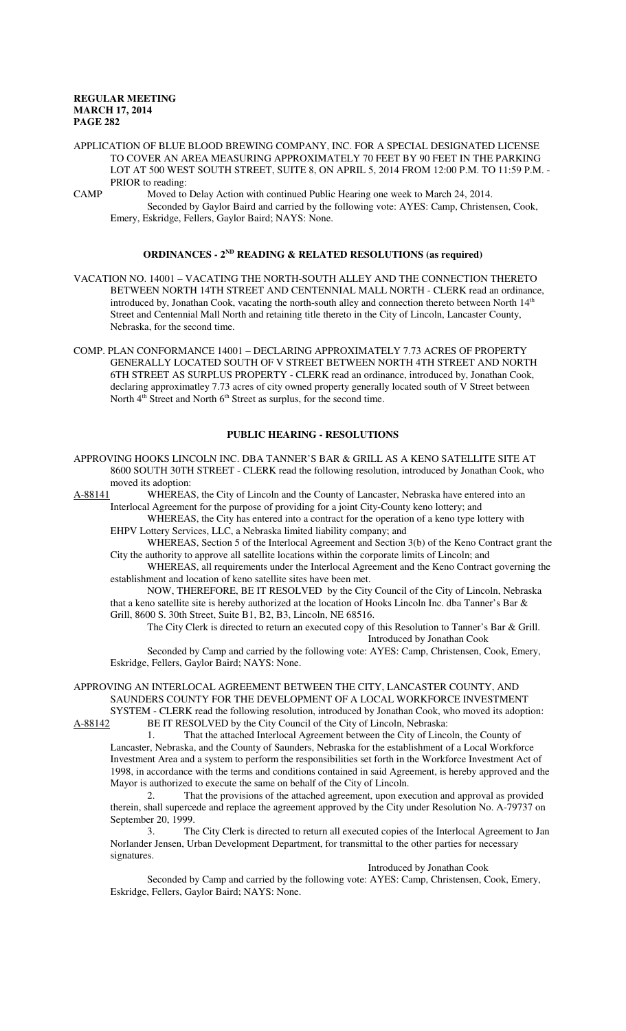APPLICATION OF BLUE BLOOD BREWING COMPANY, INC. FOR A SPECIAL DESIGNATED LICENSE TO COVER AN AREA MEASURING APPROXIMATELY 70 FEET BY 90 FEET IN THE PARKING LOT AT 500 WEST SOUTH STREET, SUITE 8, ON APRIL 5, 2014 FROM 12:00 P.M. TO 11:59 P.M. - PRIOR to reading:

CAMP Moved to Delay Action with continued Public Hearing one week to March 24, 2014. Seconded by Gaylor Baird and carried by the following vote: AYES: Camp, Christensen, Cook, Emery, Eskridge, Fellers, Gaylor Baird; NAYS: None.

#### **ORDINANCES - 2ND READING & RELATED RESOLUTIONS (as required)**

VACATION NO. 14001 – VACATING THE NORTH-SOUTH ALLEY AND THE CONNECTION THERETO BETWEEN NORTH 14TH STREET AND CENTENNIAL MALL NORTH - CLERK read an ordinance, introduced by, Jonathan Cook, vacating the north-south alley and connection thereto between North  $14<sup>th</sup>$ Street and Centennial Mall North and retaining title thereto in the City of Lincoln, Lancaster County, Nebraska, for the second time.

COMP. PLAN CONFORMANCE 14001 – DECLARING APPROXIMATELY 7.73 ACRES OF PROPERTY GENERALLY LOCATED SOUTH OF V STREET BETWEEN NORTH 4TH STREET AND NORTH 6TH STREET AS SURPLUS PROPERTY - CLERK read an ordinance, introduced by, Jonathan Cook, declaring approximatley 7.73 acres of city owned property generally located south of V Street between North 4<sup>th</sup> Street and North 6<sup>th</sup> Street as surplus, for the second time.

# **PUBLIC HEARING - RESOLUTIONS**

APPROVING HOOKS LINCOLN INC. DBA TANNER'S BAR & GRILL AS A KENO SATELLITE SITE AT 8600 SOUTH 30TH STREET - CLERK read the following resolution, introduced by Jonathan Cook, who moved its adoption:

A-88141 WHEREAS, the City of Lincoln and the County of Lancaster, Nebraska have entered into an Interlocal Agreement for the purpose of providing for a joint City-County keno lottery; and

WHEREAS, the City has entered into a contract for the operation of a keno type lottery with EHPV Lottery Services, LLC, a Nebraska limited liability company; and

WHEREAS, Section 5 of the Interlocal Agreement and Section 3(b) of the Keno Contract grant the City the authority to approve all satellite locations within the corporate limits of Lincoln; and

WHEREAS, all requirements under the Interlocal Agreement and the Keno Contract governing the establishment and location of keno satellite sites have been met.

NOW, THEREFORE, BE IT RESOLVED by the City Council of the City of Lincoln, Nebraska that a keno satellite site is hereby authorized at the location of Hooks Lincoln Inc. dba Tanner's Bar & Grill, 8600 S. 30th Street, Suite B1, B2, B3, Lincoln, NE 68516.

The City Clerk is directed to return an executed copy of this Resolution to Tanner's Bar & Grill. Introduced by Jonathan Cook

Seconded by Camp and carried by the following vote: AYES: Camp, Christensen, Cook, Emery, Eskridge, Fellers, Gaylor Baird; NAYS: None.

APPROVING AN INTERLOCAL AGREEMENT BETWEEN THE CITY, LANCASTER COUNTY, AND SAUNDERS COUNTY FOR THE DEVELOPMENT OF A LOCAL WORKFORCE INVESTMENT SYSTEM - CLERK read the following resolution, introduced by Jonathan Cook, who moved its adoption:

A-88142 BE IT RESOLVED by the City Council of the City of Lincoln, Nebraska:

1. That the attached Interlocal Agreement between the City of Lincoln, the County of Lancaster, Nebraska, and the County of Saunders, Nebraska for the establishment of a Local Workforce Investment Area and a system to perform the responsibilities set forth in the Workforce Investment Act of 1998, in accordance with the terms and conditions contained in said Agreement, is hereby approved and the Mayor is authorized to execute the same on behalf of the City of Lincoln.

2. That the provisions of the attached agreement, upon execution and approval as provided therein, shall supercede and replace the agreement approved by the City under Resolution No. A-79737 on September 20, 1999.

The City Clerk is directed to return all executed copies of the Interlocal Agreement to Jan Norlander Jensen, Urban Development Department, for transmittal to the other parties for necessary signatures.

Introduced by Jonathan Cook

Seconded by Camp and carried by the following vote: AYES: Camp, Christensen, Cook, Emery, Eskridge, Fellers, Gaylor Baird; NAYS: None.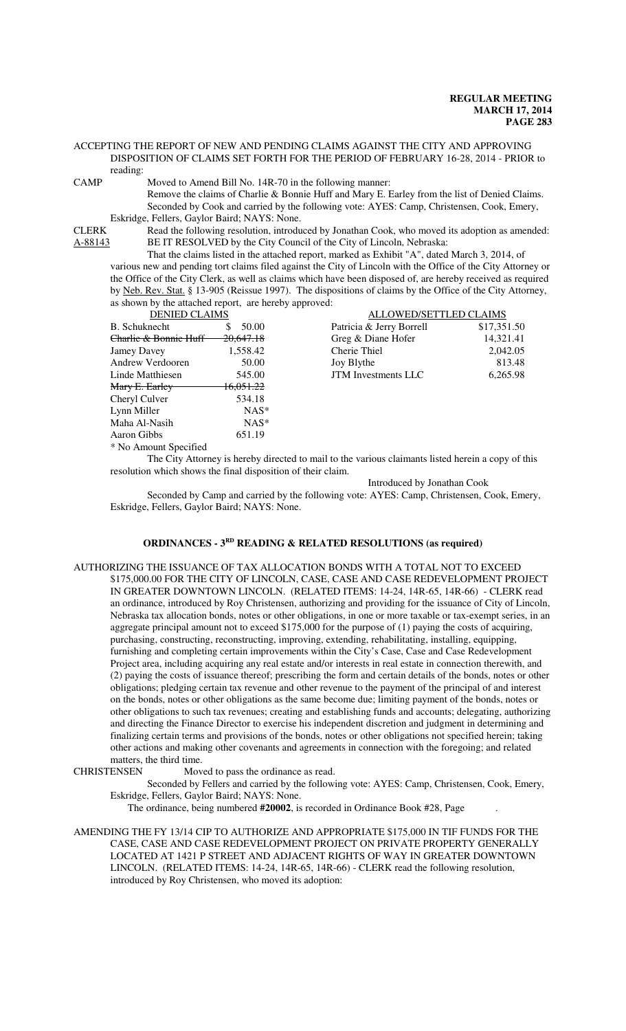ACCEPTING THE REPORT OF NEW AND PENDING CLAIMS AGAINST THE CITY AND APPROVING DISPOSITION OF CLAIMS SET FORTH FOR THE PERIOD OF FEBRUARY 16-28, 2014 - PRIOR to reading:

CAMP Moved to Amend Bill No. 14R-70 in the following manner:

Remove the claims of Charlie & Bonnie Huff and Mary E. Earley from the list of Denied Claims. Seconded by Cook and carried by the following vote: AYES: Camp, Christensen, Cook, Emery, Eskridge, Fellers, Gaylor Baird; NAYS: None.

CLERK Read the following resolution, introduced by Jonathan Cook, who moved its adoption as amended:<br>A-88143 BE IT RESOLVED by the City Council of the City of Lincoln, Nebraska: BE IT RESOLVED by the City Council of the City of Lincoln, Nebraska:

That the claims listed in the attached report, marked as Exhibit "A", dated March 3, 2014, of various new and pending tort claims filed against the City of Lincoln with the Office of the City Attorney or the Office of the City Clerk, as well as claims which have been disposed of, are hereby received as required by Neb. Rev. Stat. § 13-905 (Reissue 1997). The dispositions of claims by the Office of the City Attorney, as shown by the attached report, are hereby approved:

| <b>DENIED CLAIMS</b>                  |                      |  |  |  |
|---------------------------------------|----------------------|--|--|--|
| B. Schuknecht                         | 50.00<br>\$.         |  |  |  |
| <del>Charlie &amp; Bonnie Huff–</del> | $-20,647.18$         |  |  |  |
| Jamey Davey                           | 1,558.42             |  |  |  |
| <b>Andrew Verdooren</b>               | 50.00                |  |  |  |
| Linde Matthiesen                      | 545.00               |  |  |  |
| <del>Mary E. Earley</del>             | <del>16.051.22</del> |  |  |  |
| Cheryl Culver                         | 534.18               |  |  |  |
| Lynn Miller                           | NAS*                 |  |  |  |
| Maha Al-Nasih                         | $NAS*$               |  |  |  |
| Aaron Gibbs                           | 651.19               |  |  |  |
| * No Amount Specified                 |                      |  |  |  |

| <b>DENIED CLAIMS</b>                 |           |                            | ALLOWED/SETTLED CLAIMS |  |
|--------------------------------------|-----------|----------------------------|------------------------|--|
| B. Schuknecht                        | \$50.00   | Patricia & Jerry Borrell   | \$17,351.50            |  |
| <del>Charlie &amp; Bonnie Huff</del> | 20,647.18 | Greg & Diane Hofer         | 14.321.41              |  |
| Jamey Davey                          | 1,558.42  | Cherie Thiel               | 2,042.05               |  |
| Andrew Verdooren                     | 50.00     | Joy Blythe                 | 813.48                 |  |
| Linde Matthiesen                     | 545.00    | <b>JTM</b> Investments LLC | 6,265.98               |  |

The City Attorney is hereby directed to mail to the various claimants listed herein a copy of this resolution which shows the final disposition of their claim.

Introduced by Jonathan Cook

Seconded by Camp and carried by the following vote: AYES: Camp, Christensen, Cook, Emery, Eskridge, Fellers, Gaylor Baird; NAYS: None.

#### **ORDINANCES - 3RD READING & RELATED RESOLUTIONS (as required)**

AUTHORIZING THE ISSUANCE OF TAX ALLOCATION BONDS WITH A TOTAL NOT TO EXCEED \$175,000.00 FOR THE CITY OF LINCOLN, CASE, CASE AND CASE REDEVELOPMENT PROJECT IN GREATER DOWNTOWN LINCOLN. (RELATED ITEMS: 14-24, 14R-65, 14R-66) - CLERK read an ordinance, introduced by Roy Christensen, authorizing and providing for the issuance of City of Lincoln, Nebraska tax allocation bonds, notes or other obligations, in one or more taxable or tax-exempt series, in an aggregate principal amount not to exceed \$175,000 for the purpose of (1) paying the costs of acquiring, purchasing, constructing, reconstructing, improving, extending, rehabilitating, installing, equipping, furnishing and completing certain improvements within the City's Case, Case and Case Redevelopment Project area, including acquiring any real estate and/or interests in real estate in connection therewith, and (2) paying the costs of issuance thereof; prescribing the form and certain details of the bonds, notes or other obligations; pledging certain tax revenue and other revenue to the payment of the principal of and interest on the bonds, notes or other obligations as the same become due; limiting payment of the bonds, notes or other obligations to such tax revenues; creating and establishing funds and accounts; delegating, authorizing and directing the Finance Director to exercise his independent discretion and judgment in determining and finalizing certain terms and provisions of the bonds, notes or other obligations not specified herein; taking other actions and making other covenants and agreements in connection with the foregoing; and related matters, the third time.<br>CHRISTENSEN Mov

Moved to pass the ordinance as read.

Seconded by Fellers and carried by the following vote: AYES: Camp, Christensen, Cook, Emery, Eskridge, Fellers, Gaylor Baird; NAYS: None.

The ordinance, being numbered **#20002**, is recorded in Ordinance Book #28, Page .

AMENDING THE FY 13/14 CIP TO AUTHORIZE AND APPROPRIATE \$175,000 IN TIF FUNDS FOR THE CASE, CASE AND CASE REDEVELOPMENT PROJECT ON PRIVATE PROPERTY GENERALLY LOCATED AT 1421 P STREET AND ADJACENT RIGHTS OF WAY IN GREATER DOWNTOWN LINCOLN. (RELATED ITEMS: 14-24, 14R-65, 14R-66) - CLERK read the following resolution, introduced by Roy Christensen, who moved its adoption: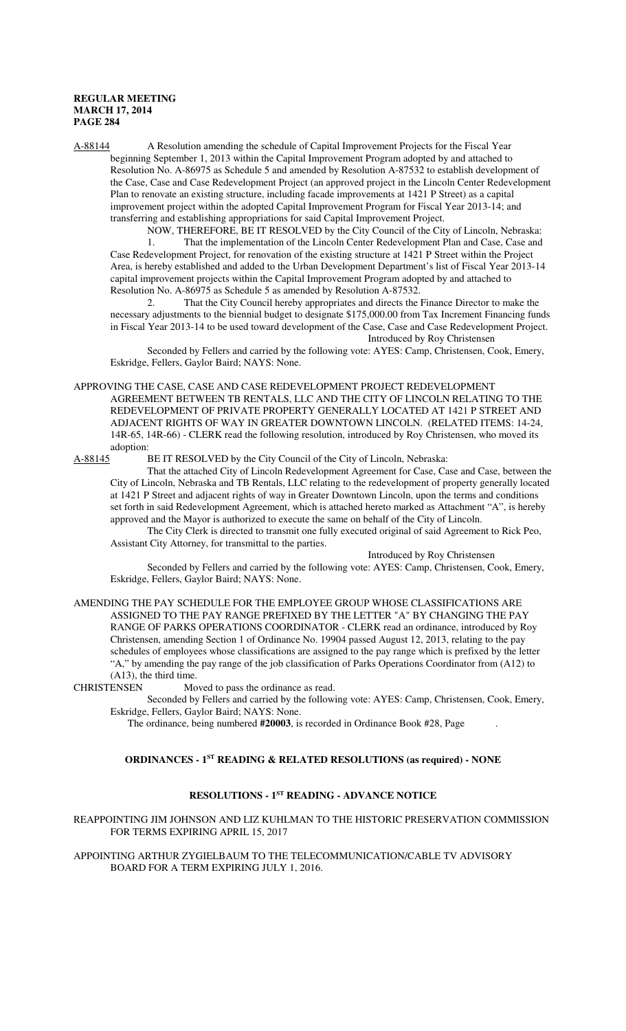A-88144 A Resolution amending the schedule of Capital Improvement Projects for the Fiscal Year beginning September 1, 2013 within the Capital Improvement Program adopted by and attached to Resolution No. A-86975 as Schedule 5 and amended by Resolution A-87532 to establish development of the Case, Case and Case Redevelopment Project (an approved project in the Lincoln Center Redevelopment Plan to renovate an existing structure, including facade improvements at 1421 P Street) as a capital improvement project within the adopted Capital Improvement Program for Fiscal Year 2013-14; and transferring and establishing appropriations for said Capital Improvement Project.

NOW, THEREFORE, BE IT RESOLVED by the City Council of the City of Lincoln, Nebraska: 1. That the implementation of the Lincoln Center Redevelopment Plan and Case, Case and Case Redevelopment Project, for renovation of the existing structure at 1421 P Street within the Project Area, is hereby established and added to the Urban Development Department's list of Fiscal Year 2013-14 capital improvement projects within the Capital Improvement Program adopted by and attached to Resolution No. A-86975 as Schedule 5 as amended by Resolution A-87532.

2. That the City Council hereby appropriates and directs the Finance Director to make the necessary adjustments to the biennial budget to designate \$175,000.00 from Tax Increment Financing funds in Fiscal Year 2013-14 to be used toward development of the Case, Case and Case Redevelopment Project. Introduced by Roy Christensen

Seconded by Fellers and carried by the following vote: AYES: Camp, Christensen, Cook, Emery, Eskridge, Fellers, Gaylor Baird; NAYS: None.

APPROVING THE CASE, CASE AND CASE REDEVELOPMENT PROJECT REDEVELOPMENT

AGREEMENT BETWEEN TB RENTALS, LLC AND THE CITY OF LINCOLN RELATING TO THE REDEVELOPMENT OF PRIVATE PROPERTY GENERALLY LOCATED AT 1421 P STREET AND ADJACENT RIGHTS OF WAY IN GREATER DOWNTOWN LINCOLN. (RELATED ITEMS: 14-24, 14R-65, 14R-66) - CLERK read the following resolution, introduced by Roy Christensen, who moved its adoption:<br>A-88145 I

BE IT RESOLVED by the City Council of the City of Lincoln, Nebraska:

That the attached City of Lincoln Redevelopment Agreement for Case, Case and Case, between the City of Lincoln, Nebraska and TB Rentals, LLC relating to the redevelopment of property generally located at 1421 P Street and adjacent rights of way in Greater Downtown Lincoln, upon the terms and conditions set forth in said Redevelopment Agreement, which is attached hereto marked as Attachment "A", is hereby approved and the Mayor is authorized to execute the same on behalf of the City of Lincoln.

The City Clerk is directed to transmit one fully executed original of said Agreement to Rick Peo, Assistant City Attorney, for transmittal to the parties.

Introduced by Roy Christensen

Seconded by Fellers and carried by the following vote: AYES: Camp, Christensen, Cook, Emery, Eskridge, Fellers, Gaylor Baird; NAYS: None.

AMENDING THE PAY SCHEDULE FOR THE EMPLOYEE GROUP WHOSE CLASSIFICATIONS ARE ASSIGNED TO THE PAY RANGE PREFIXED BY THE LETTER "A" BY CHANGING THE PAY RANGE OF PARKS OPERATIONS COORDINATOR - CLERK read an ordinance, introduced by Roy Christensen, amending Section 1 of Ordinance No. 19904 passed August 12, 2013, relating to the pay schedules of employees whose classifications are assigned to the pay range which is prefixed by the letter "A," by amending the pay range of the job classification of Parks Operations Coordinator from (A12) to  $(A13)$ , the third time.<br>CHRISTENSEN Mo

Moved to pass the ordinance as read.

Seconded by Fellers and carried by the following vote: AYES: Camp, Christensen, Cook, Emery, Eskridge, Fellers, Gaylor Baird; NAYS: None.

The ordinance, being numbered **#20003**, is recorded in Ordinance Book #28, Page .

# **ORDINANCES - 1ST READING & RELATED RESOLUTIONS (as required) - NONE**

# **RESOLUTIONS - 1ST READING - ADVANCE NOTICE**

### REAPPOINTING JIM JOHNSON AND LIZ KUHLMAN TO THE HISTORIC PRESERVATION COMMISSION FOR TERMS EXPIRING APRIL 15, 2017

APPOINTING ARTHUR ZYGIELBAUM TO THE TELECOMMUNICATION/CABLE TV ADVISORY BOARD FOR A TERM EXPIRING JULY 1, 2016.